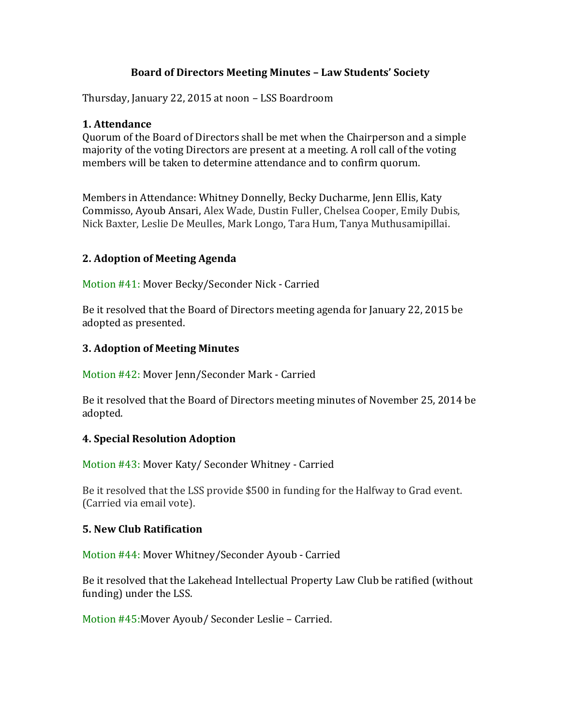## **Board of Directors Meeting Minutes – Law Students' Society**

Thursday, January 22, 2015 at noon – LSS Boardroom

## **1. Attendance**

Quorum of the Board of Directors shall be met when the Chairperson and a simple majority of the voting Directors are present at a meeting. A roll call of the voting members will be taken to determine attendance and to confirm quorum.

Members in Attendance: Whitney Donnelly, Becky Ducharme, Jenn Ellis, Katy Commisso, Ayoub Ansari, Alex Wade, Dustin Fuller, Chelsea Cooper, Emily Dubis, Nick Baxter, Leslie De Meulles, Mark Longo, Tara Hum, Tanya Muthusamipillai.

## **2. Adoption of Meeting Agenda**

Motion #41: Mover Becky/Seconder Nick - Carried

Be it resolved that the Board of Directors meeting agenda for January 22, 2015 be adopted as presented.

## **3. Adoption of Meeting Minutes**

Motion #42: Mover Jenn/Seconder Mark - Carried

Be it resolved that the Board of Directors meeting minutes of November 25, 2014 be adopted.

#### **4. Special Resolution Adoption**

Motion #43: Mover Katy/ Seconder Whitney - Carried

Be it resolved that the LSS provide \$500 in funding for the Halfway to Grad event. (Carried via email vote).

## **5. New Club Ratification**

Motion #44: Mover Whitney/Seconder Ayoub - Carried

Be it resolved that the Lakehead Intellectual Property Law Club be ratified (without funding) under the LSS.

Motion #45:Mover Ayoub/ Seconder Leslie – Carried.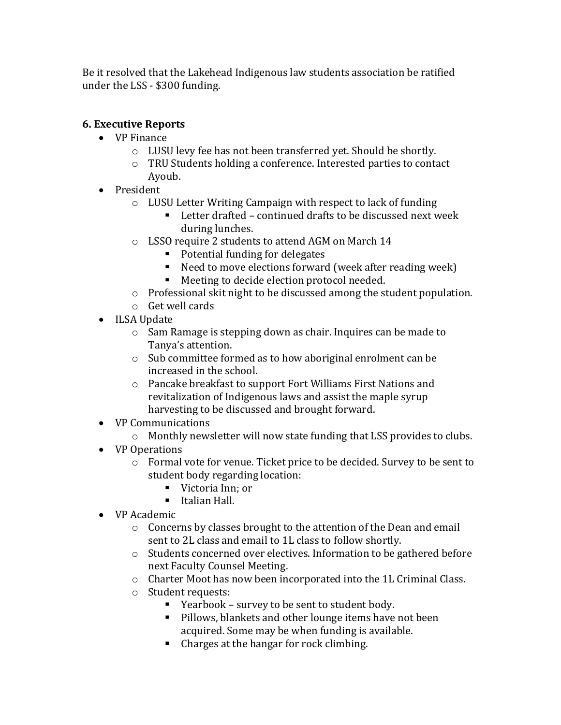Be it resolved that the Lakehead Indigenous law students association be ratified under the LSS - \$300 funding.

# **6. Executive Reports**

- VP Finance
	- o LUSU levy fee has not been transferred yet. Should be shortly.
	- o TRU Students holding a conference. Interested parties to contact Ayoub.
- President
	- o LUSU Letter Writing Campaign with respect to lack of funding
		- Letter drafted continued drafts to be discussed next week during lunches.
	- o LSSO require 2 students to attend AGM on March 14
		- Potential funding for delegates
		- Need to move elections forward (week after reading week)
		- Meeting to decide election protocol needed.
	- o Professional skit night to be discussed among the student population.
	- o Get well cards
- ILSA Update
	- o Sam Ramage is stepping down as chair. Inquires can be made to Tanya's attention.
	- o Sub committee formed as to how aboriginal enrolment can be increased in the school.
	- o Pancake breakfast to support Fort Williams First Nations and revitalization of Indigenous laws and assist the maple syrup harvesting to be discussed and brought forward.
- VP Communications
	- o Monthly newsletter will now state funding that LSS provides to clubs.
- VP Operations
	- o Formal vote for venue. Ticket price to be decided. Survey to be sent to student body regarding location:
		- Victoria Inn: or
		- **Italian Hall.**
- VP Academic
	- o Concerns by classes brought to the attention of the Dean and email sent to 2L class and email to 1L class to follow shortly.
	- o Students concerned over electives. Information to be gathered before next Faculty Counsel Meeting.
	- o Charter Moot has now been incorporated into the 1L Criminal Class.
	- o Student requests:
		- Yearbook survey to be sent to student body.
		- **Pillows, blankets and other lounge items have not been** acquired. Some may be when funding is available.
		- Charges at the hangar for rock climbing.